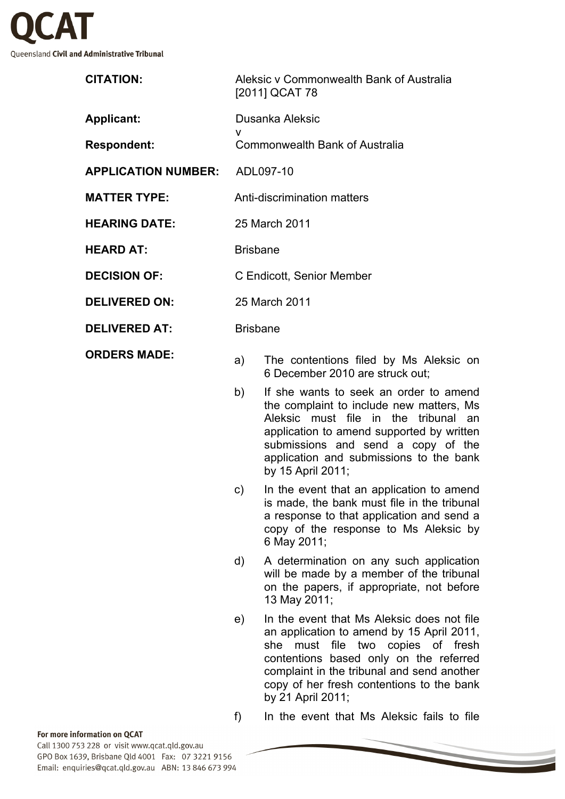

| <b>CITATION:</b>           |                           | Aleksic v Commonwealth Bank of Australia<br>[2011] QCAT 78                |
|----------------------------|---------------------------|---------------------------------------------------------------------------|
| Applicant:                 | v                         | Dusanka Aleksic                                                           |
| <b>Respondent:</b>         |                           | Commonwealth Bank of Australia                                            |
| <b>APPLICATION NUMBER:</b> | ADL097-10                 |                                                                           |
| <b>MATTER TYPE:</b>        |                           | <b>Anti-discrimination matters</b>                                        |
| <b>HEARING DATE:</b>       | 25 March 2011             |                                                                           |
| <b>HEARD AT:</b>           | <b>Brisbane</b>           |                                                                           |
| <b>DECISION OF:</b>        | C Endicott, Senior Member |                                                                           |
| <b>DELIVERED ON:</b>       | 25 March 2011             |                                                                           |
| <b>DELIVERED AT:</b>       | <b>Brisbane</b>           |                                                                           |
| <b>ORDERS MADE:</b>        | a)                        | The contentions filed by Ms Aleksic on<br>6 December 2010 are struck out; |

- b) If she wants to seek an order to amend the complaint to include new matters, Ms Aleksic must file in the tribunal an application to amend supported by written submissions and send a copy of the application and submissions to the bank by 15 April 2011;
- c) In the event that an application to amend is made, the bank must file in the tribunal a response to that application and send a copy of the response to Ms Aleksic by 6 May 2011;
- d) A determination on any such application will be made by a member of the tribunal on the papers, if appropriate, not before 13 May 2011;
- e) In the event that Ms Aleksic does not file an application to amend by 15 April 2011, she must file two copies of fresh contentions based only on the referred complaint in the tribunal and send another copy of her fresh contentions to the bank by 21 April 2011;

f) In the event that Ms Aleksic fails to file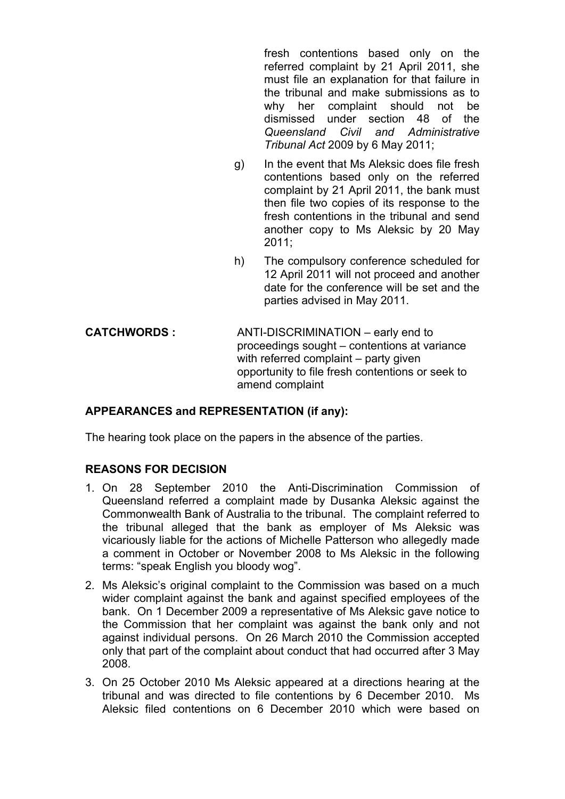fresh contentions based only on the referred complaint by 21 April 2011, she must file an explanation for that failure in the tribunal and make submissions as to why her complaint should not be dismissed under section 48 of the *Queensland Civil and Administrative Tribunal Act* 2009 by 6 May 2011;

- g) In the event that Ms Aleksic does file fresh contentions based only on the referred complaint by 21 April 2011, the bank must then file two copies of its response to the fresh contentions in the tribunal and send another copy to Ms Aleksic by 20 May 2011;
- h) The compulsory conference scheduled for 12 April 2011 will not proceed and another date for the conference will be set and the parties advised in May 2011.
- **CATCHWORDS :** ANTI-DISCRIMINATION early end to proceedings sought – contentions at variance with referred complaint – party given opportunity to file fresh contentions or seek to amend complaint

## **APPEARANCES and REPRESENTATION (if any):**

The hearing took place on the papers in the absence of the parties.

## **REASONS FOR DECISION**

- 1. On 28 September 2010 the Anti-Discrimination Commission of Queensland referred a complaint made by Dusanka Aleksic against the Commonwealth Bank of Australia to the tribunal. The complaint referred to the tribunal alleged that the bank as employer of Ms Aleksic was vicariously liable for the actions of Michelle Patterson who allegedly made a comment in October or November 2008 to Ms Aleksic in the following terms: "speak English you bloody wog".
- 2. Ms Aleksic's original complaint to the Commission was based on a much wider complaint against the bank and against specified employees of the bank. On 1 December 2009 a representative of Ms Aleksic gave notice to the Commission that her complaint was against the bank only and not against individual persons. On 26 March 2010 the Commission accepted only that part of the complaint about conduct that had occurred after 3 May 2008.
- 3. On 25 October 2010 Ms Aleksic appeared at a directions hearing at the tribunal and was directed to file contentions by 6 December 2010. Ms Aleksic filed contentions on 6 December 2010 which were based on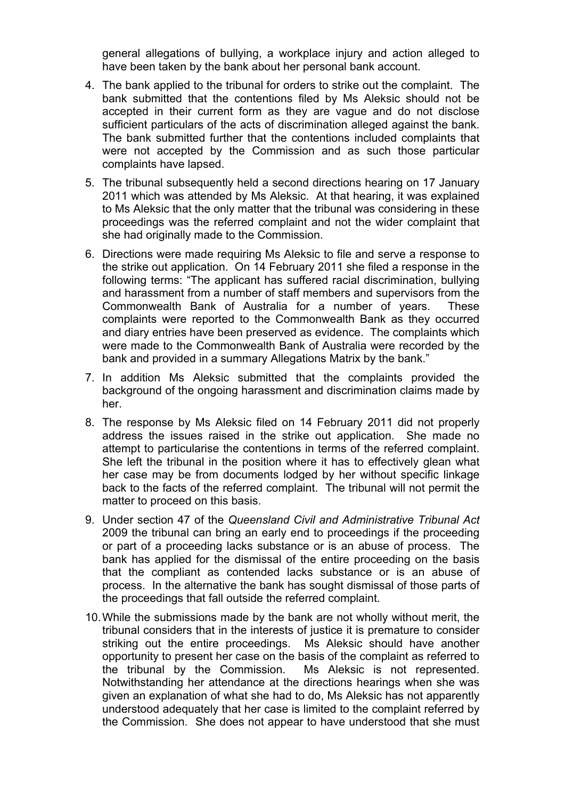general allegations of bullying, a workplace injury and action alleged to have been taken by the bank about her personal bank account.

- 4. The bank applied to the tribunal for orders to strike out the complaint. The bank submitted that the contentions filed by Ms Aleksic should not be accepted in their current form as they are vague and do not disclose sufficient particulars of the acts of discrimination alleged against the bank. The bank submitted further that the contentions included complaints that were not accepted by the Commission and as such those particular complaints have lapsed.
- 5. The tribunal subsequently held a second directions hearing on 17 January 2011 which was attended by Ms Aleksic. At that hearing, it was explained to Ms Aleksic that the only matter that the tribunal was considering in these proceedings was the referred complaint and not the wider complaint that she had originally made to the Commission.
- 6. Directions were made requiring Ms Aleksic to file and serve a response to the strike out application. On 14 February 2011 she filed a response in the following terms: "The applicant has suffered racial discrimination, bullying and harassment from a number of staff members and supervisors from the Commonwealth Bank of Australia for a number of years. These complaints were reported to the Commonwealth Bank as they occurred and diary entries have been preserved as evidence. The complaints which were made to the Commonwealth Bank of Australia were recorded by the bank and provided in a summary Allegations Matrix by the bank."
- 7. In addition Ms Aleksic submitted that the complaints provided the background of the ongoing harassment and discrimination claims made by her.
- 8. The response by Ms Aleksic filed on 14 February 2011 did not properly address the issues raised in the strike out application. She made no attempt to particularise the contentions in terms of the referred complaint. She left the tribunal in the position where it has to effectively glean what her case may be from documents lodged by her without specific linkage back to the facts of the referred complaint. The tribunal will not permit the matter to proceed on this basis.
- 9. Under section 47 of the *Queensland Civil and Administrative Tribunal Act*  2009 the tribunal can bring an early end to proceedings if the proceeding or part of a proceeding lacks substance or is an abuse of process. The bank has applied for the dismissal of the entire proceeding on the basis that the compliant as contended lacks substance or is an abuse of process. In the alternative the bank has sought dismissal of those parts of the proceedings that fall outside the referred complaint.
- 10.While the submissions made by the bank are not wholly without merit, the tribunal considers that in the interests of justice it is premature to consider striking out the entire proceedings. Ms Aleksic should have another opportunity to present her case on the basis of the complaint as referred to the tribunal by the Commission. Ms Aleksic is not represented. Notwithstanding her attendance at the directions hearings when she was given an explanation of what she had to do, Ms Aleksic has not apparently understood adequately that her case is limited to the complaint referred by the Commission. She does not appear to have understood that she must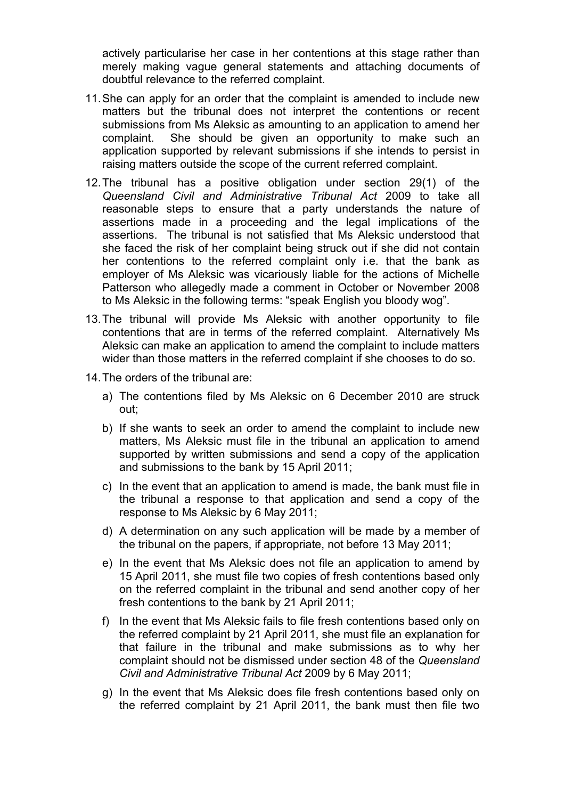actively particularise her case in her contentions at this stage rather than merely making vague general statements and attaching documents of doubtful relevance to the referred complaint.

- 11.She can apply for an order that the complaint is amended to include new matters but the tribunal does not interpret the contentions or recent submissions from Ms Aleksic as amounting to an application to amend her complaint. She should be given an opportunity to make such an application supported by relevant submissions if she intends to persist in raising matters outside the scope of the current referred complaint.
- 12.The tribunal has a positive obligation under section 29(1) of the *Queensland Civil and Administrative Tribunal Act* 2009 to take all reasonable steps to ensure that a party understands the nature of assertions made in a proceeding and the legal implications of the assertions. The tribunal is not satisfied that Ms Aleksic understood that she faced the risk of her complaint being struck out if she did not contain her contentions to the referred complaint only i.e. that the bank as employer of Ms Aleksic was vicariously liable for the actions of Michelle Patterson who allegedly made a comment in October or November 2008 to Ms Aleksic in the following terms: "speak English you bloody wog".
- 13.The tribunal will provide Ms Aleksic with another opportunity to file contentions that are in terms of the referred complaint. Alternatively Ms Aleksic can make an application to amend the complaint to include matters wider than those matters in the referred complaint if she chooses to do so.
- 14.The orders of the tribunal are:
	- a) The contentions filed by Ms Aleksic on 6 December 2010 are struck out;
	- b) If she wants to seek an order to amend the complaint to include new matters, Ms Aleksic must file in the tribunal an application to amend supported by written submissions and send a copy of the application and submissions to the bank by 15 April 2011;
	- c) In the event that an application to amend is made, the bank must file in the tribunal a response to that application and send a copy of the response to Ms Aleksic by 6 May 2011;
	- d) A determination on any such application will be made by a member of the tribunal on the papers, if appropriate, not before 13 May 2011;
	- e) In the event that Ms Aleksic does not file an application to amend by 15 April 2011, she must file two copies of fresh contentions based only on the referred complaint in the tribunal and send another copy of her fresh contentions to the bank by 21 April 2011;
	- f) In the event that Ms Aleksic fails to file fresh contentions based only on the referred complaint by 21 April 2011, she must file an explanation for that failure in the tribunal and make submissions as to why her complaint should not be dismissed under section 48 of the *Queensland Civil and Administrative Tribunal Act* 2009 by 6 May 2011;
	- g) In the event that Ms Aleksic does file fresh contentions based only on the referred complaint by 21 April 2011, the bank must then file two